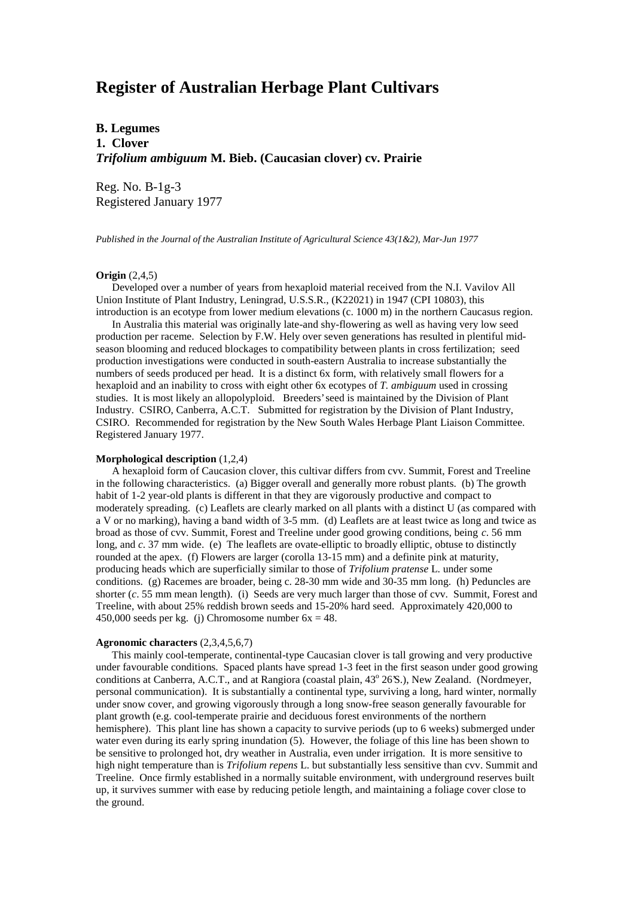# **Register of Australian Herbage Plant Cultivars**

**B. Legumes 1. Clover** *Trifolium ambiguum* **M. Bieb. (Caucasian clover) cv. Prairie**

Reg. No. B-1g-3 Registered January 1977

*Published in the Journal of the Australian Institute of Agricultural Science 43(1&2), Mar-Jun 1977*

# **Origin** (2,4,5)

 Developed over a number of years from hexaploid material received from the N.I. Vavilov All Union Institute of Plant Industry, Leningrad, U.S.S.R., (K22021) in 1947 (CPI 10803), this introduction is an ecotype from lower medium elevations (c. 1000 m) in the northern Caucasus region.

 In Australia this material was originally late-and shy-flowering as well as having very low seed production per raceme. Selection by F.W. Hely over seven generations has resulted in plentiful midseason blooming and reduced blockages to compatibility between plants in cross fertilization; seed production investigations were conducted in south-eastern Australia to increase substantially the numbers of seeds produced per head. It is a distinct 6x form, with relatively small flowers for a hexaploid and an inability to cross with eight other 6x ecotypes of *T. ambiguum* used in crossing studies. It is most likely an allopolyploid. Breeders' seed is maintained by the Division of Plant Industry. CSIRO, Canberra, A.C.T. Submitted for registration by the Division of Plant Industry, CSIRO. Recommended for registration by the New South Wales Herbage Plant Liaison Committee. Registered January 1977.

### **Morphological description** (1,2,4)

 A hexaploid form of Caucasion clover, this cultivar differs from cvv. Summit, Forest and Treeline in the following characteristics. (a) Bigger overall and generally more robust plants. (b) The growth habit of 1-2 year-old plants is different in that they are vigorously productive and compact to moderately spreading. (c) Leaflets are clearly marked on all plants with a distinct U (as compared with a V or no marking), having a band width of 3-5 mm. (d) Leaflets are at least twice as long and twice as broad as those of cvv. Summit, Forest and Treeline under good growing conditions, being *c*. 56 mm long, and *c*. 37 mm wide. (e) The leaflets are ovate-elliptic to broadly elliptic, obtuse to distinctly rounded at the apex. (f) Flowers are larger (corolla 13-15 mm) and a definite pink at maturity, producing heads which are superficially similar to those of *Trifolium pratense* L. under some conditions. (g) Racemes are broader, being c. 28-30 mm wide and 30-35 mm long. (h) Peduncles are shorter (*c*. 55 mm mean length). (i) Seeds are very much larger than those of cvv. Summit, Forest and Treeline, with about 25% reddish brown seeds and 15-20% hard seed. Approximately 420,000 to 450,000 seeds per kg. (j) Chromosome number  $6x = 48$ .

#### **Agronomic characters** (2,3,4,5,6,7)

 This mainly cool-temperate, continental-type Caucasian clover is tall growing and very productive under favourable conditions. Spaced plants have spread 1-3 feet in the first season under good growing conditions at Canberra, A.C.T., and at Rangiora (coastal plain, 43° 26'S.), New Zealand. (Nordmeyer, personal communication). It is substantially a continental type, surviving a long, hard winter, normally under snow cover, and growing vigorously through a long snow-free season generally favourable for plant growth (e.g. cool-temperate prairie and deciduous forest environments of the northern hemisphere). This plant line has shown a capacity to survive periods (up to 6 weeks) submerged under water even during its early spring inundation (5). However, the foliage of this line has been shown to be sensitive to prolonged hot, dry weather in Australia, even under irrigation. It is more sensitive to high night temperature than is *Trifolium repens* L. but substantially less sensitive than cvv. Summit and Treeline. Once firmly established in a normally suitable environment, with underground reserves built up, it survives summer with ease by reducing petiole length, and maintaining a foliage cover close to the ground.